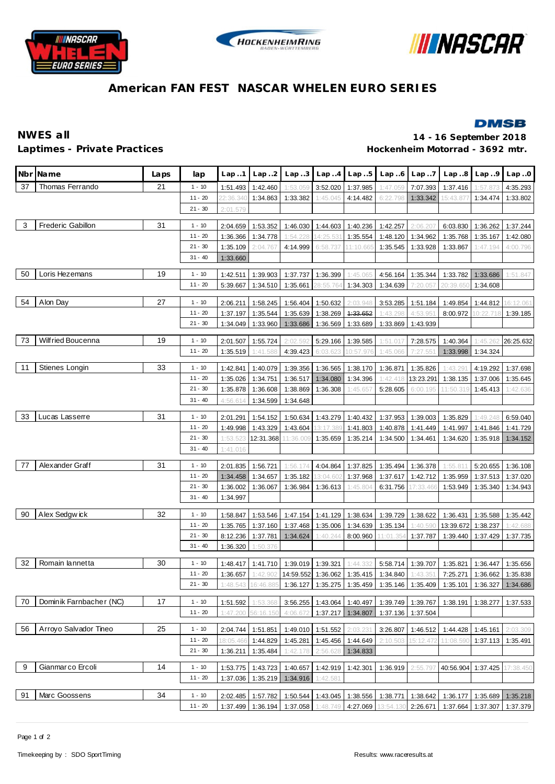





# **American FAN FEST NASCAR WHELEN EURO SERIES**

## **DMSB**

**NWES all 14 - 16 September 2018** Laptimes - Private Practices **Motorrad - 3692 mtr.** 

|    | Nbr Name                | Laps | lap                   | Lap.1     | Lap.2                         | Lap.3                | Lap.4                | Lap.5                | Lap.6                 | Lap.7                | Lap.8                                                                                 | Lap.9                         | Lap.0     |
|----|-------------------------|------|-----------------------|-----------|-------------------------------|----------------------|----------------------|----------------------|-----------------------|----------------------|---------------------------------------------------------------------------------------|-------------------------------|-----------|
| 37 | Thomas Ferrando         | 21   | $1 - 10$              | 1:51.493  | 1:42.460                      | 1:53.059             | 3:52.020             | 1:37.985             | 1:47.059              | 7:07.393             | 1:37.416                                                                              | 1:57.87                       | 4:35.293  |
|    |                         |      | $11 - 20$             | 22:36.340 | 1:34.863                      | 1:33.382             | 1:45.045             | 4:14.482             | 6:22.798              | 1:33.342             | 15:43.877                                                                             | 1:34.474                      | 1:33.802  |
|    |                         |      | $21 - 30$             | 2:01.579  |                               |                      |                      |                      |                       |                      |                                                                                       |                               |           |
| 3  | Frederic Gabillon       | 31   | $1 - 10$              | 2:04.659  | 1:53.352                      | 1:46.030             | 1:44.603             | 1:40.236             | 1:42.257              | 2:06.207             | 6:03.830                                                                              | 1:36.262                      | 1:37.244  |
|    |                         |      | $11 - 20$             | 1:36.366  | 1:34.778                      | 1:54.228             | 14:25.531            | 1:35.554             | 1:48.120              | 1:34.962             | 1:35.768                                                                              | 1:35.167                      | 1:42.080  |
|    |                         |      | $21 - 30$             | 1:35.109  | 2:04.767                      | 4:14.999             | 6:58.737             | 11:10.66             | 1:35.545              | 1:33.928             | 1:33.867                                                                              | 1:47.194                      | 4:00.796  |
|    |                         |      | $31 - 40$             | 1:33.660  |                               |                      |                      |                      |                       |                      |                                                                                       |                               |           |
| 50 | Loris Hezemans          | 19   | $1 - 10$              | 1:42.511  | 1:39.903                      | 1:37.737             | 1:36.399             | 1:45.065             | 4:56.164              | 1:35.344             | 1:33.782                                                                              | 1:33.686                      | 1:51.847  |
|    |                         |      | $11 - 20$             | 5:39.667  | 1:34.510                      | 1:35.661             | 28:55.764            | 1:34.303             | 1:34.639              | 7:20.057             | 20:39.650                                                                             | 1:34.608                      |           |
| 54 | Alon Day                | 27   | $1 - 10$              | 2:06.211  | 1:58.245                      | 1:56.404             | 1:50.632             | 2:03.948             | 3:53.285              | 1:51.184             | 1:49.854                                                                              | 1:44.812                      | 16:12.061 |
|    |                         |      | $11 - 20$             | 1:37.197  | 1:35.544                      | 1:35.639             | 1:38.269             | 4:33.652             | 1:43.298              | 4:53.951             | 8:00.972                                                                              | 10:22.718                     | 1:39.185  |
|    |                         |      | $21 - 30$             | 1:34.049  | 1:33.960                      | 1:33.686             | 1:36.569             | 1:33.689             | 1:33.869              | 1:43.939             |                                                                                       |                               |           |
| 73 | Wilf ried Boucenna      | 19   | $1 - 10$              | 2:01.507  | 1:55.724                      | 2:02.592             | 5:29.166             | 1:39.585             | 1:51.017              | 7:28.575             | 1:40.364                                                                              | 1:45.262                      | 26:25.632 |
|    |                         |      | $11 - 20$             | 1:35.519  | 1:41.588                      | 4:39.423             | 6:03.623             | 10:57.976            | 1:45.066              | 7:27.551             | 1:33.998                                                                              | 1:34.324                      |           |
| 11 | Stienes Longin          | 33   | $1 - 10$              | 1:42.841  | 1:40.079                      | 1:39.356             | 1:36.565             | 1:38.170             | 1:36.871              | 1:35.826             | 1:43.291                                                                              | 4:19.292                      | 1:37.698  |
|    |                         |      | $11 - 20$             | 1:35.026  | 1:34.751                      | 1:36.517             | 1:34.080             | 1:34.396             | 1:42.418              | 13:23.291            | 1:38.135                                                                              | 1:37.006                      | 1:35.645  |
|    |                         |      | $21 - 30$             | 1:35.878  | 1:36.608                      | 1:38.869             | 1:36.308             | 1:45.657             | 5:28.605              | 6:00.195             | 11:50.319                                                                             | 1:45.413                      | 1:42.636  |
|    |                         |      | $31 - 40$             | 4:56.614  | 1:34.599                      | 1:34.648             |                      |                      |                       |                      |                                                                                       |                               |           |
| 33 | Lucas Lasserre          | 31   | $1 - 10$              | 2:01.291  | 1:54.152                      | 1:50.634             | 1:43.279             | 1:40.432             | 1:37.953              | 1:39.003             | 1:35.829                                                                              | 1:49.248                      | 6:59.040  |
|    |                         |      | $11 - 20$             | 1:49.998  | 1:43.329                      | 1:43.604             | 13:17.389            | 1:41.803             | 1:40.878              | 1:41.449             | 1:41.997                                                                              | 1:41.846                      | 1:41.729  |
|    |                         |      | $21 - 30$             | 1:53.523  | 12:31.368                     | 11:36.009            | 1:35.659             | 1:35.214             | 1:34.500              | 1:34.461             | 1:34.620                                                                              | 1:35.918                      | 1:34.152  |
|    |                         |      | $31 - 40$             | 1:41.016  |                               |                      |                      |                      |                       |                      |                                                                                       |                               |           |
| 77 | Alexander Graff         | 31   | $1 - 10$              | 2:01.835  | 1:56.721                      | 1:56.174             | 4:04.864             | 1:37.825             | 1:35.494              | 1:36.378             | 1:55.811                                                                              | 5:20.655                      | 1:36.108  |
|    |                         |      | $11 - 20$             | 1:34.458  | 1:34.657                      | 1:35.182             | 3:04.602             | 1:37.968             | 1:37.617              | 1:42.712             | 1:35.959                                                                              | 1:37.513                      | 1:37.020  |
|    |                         |      | $21 - 30$             | 1:36.002  | 1:36.067                      | 1:36.984             | 1:36.613             | 1:45.804             | 6:31.756              | 7:33.46              | 1:53.949                                                                              | 1:35.340                      | 1:34.943  |
|    |                         |      | $31 - 40$             | 1:34.997  |                               |                      |                      |                      |                       |                      |                                                                                       |                               |           |
| 90 | Alex Sedgwick           | 32   | $1 - 10$              | 1:58.847  | 1:53.546                      | 1:47.154             | 1:41.129             | 1:38.634             | 1:39.729              | 1:38.622             | 1:36.431                                                                              | 1:35.588                      | 1:35.442  |
|    |                         |      | $11 - 20$             | 1:35.765  | 1:37.160                      | 1:37.468             | 1:35.006             | 1:34.639             | 1:35.134              | 1:40.590             | 13:39.672                                                                             | 1:38.237                      | 1:42.688  |
|    |                         |      | $21 - 30$             | 8:12.236  | 1:37.781                      | 1:34.624             | 1:40.244             | 8:00.960             | 11:01.354             | 1:37.787             | 1:39.440                                                                              | 1:37.429                      | 1:37.735  |
|    |                         |      | $31 - 40$             | 1:36.320  | 1:50.376                      |                      |                      |                      |                       |                      |                                                                                       |                               |           |
| 32 | Romain lannetta         | 30   | $1 - 10$              | 1:48.417  | 1:41.710                      | 1:39.019             | 1:39.321             | 1:44.332             | 5:58.714              | 1:39.707             | 1:35.821                                                                              | 1:36.447                      | 1:35.656  |
|    |                         |      | $11 - 20$             | 1:36.657  | 1:42.902                      | 14:59.552            | 1:36.062             | 1:35.415             | 1:34.840              | 1:43.351             | 7:25.271                                                                              | 1:36.662                      | 1:35.838  |
|    |                         |      | $21 - 30$             | 1:48.543  | 16:46.885                     |                      |                      |                      |                       |                      | 1:36.127   1:35.275   1:35.459   1:35.146   1:35.409   1:35.101   1:36.327   1:34.686 |                               |           |
| 70 | Dominik Farnbacher (NC) | 17   | $1 - 10$              | 1:51.592  | 1:53.368                      | 3:56.255             | 1:43.064             | 1:40.497             |                       | 1:39.749 1:39.767    | 1:38.191                                                                              | 1:38.277                      | 1:37.533  |
|    |                         |      | $11 - 20$             | 1:47.200  | 56:16.150                     | 4:06.672             | 1:37.217             | 1:34.807             | 1:37.136              | 1:37.504             |                                                                                       |                               |           |
| 56 | Arroyo Salvador Tineo   | 25   | $1 - 10$              | 2:04.744  | 1:51.851                      | 1:49.010             | 1:51.552             | 2:03.231             | 3:26.807              | 1:46.512             | 1:44.428                                                                              | 1:45.161                      | 2:03.309  |
|    |                         |      | $11 - 20$             | 18:05.466 | 1:44.829                      | 1:45.281             | 1:45.456             | 1:44.649             | 2:10.503              | 15:12.472            | 11:08.590                                                                             | 1:37.113                      | 1:35.491  |
|    |                         |      | $21 - 30$             | 1:36.211  | 1:35.484                      | 1:42.178             | 2:56.628             | 1:34.833             |                       |                      |                                                                                       |                               |           |
| 9  | Gianmarco Ercoli        | 14   | $1 - 10$              |           | 1:53.775   1:43.723           | 1:40.657             | 1:42.919             | 1:42.301             | 1:36.919              | 2:55.79              | 40:56.904                                                                             | 1:37.425                      | 17:38.45( |
|    |                         |      | $11 - 20$             | 1:37.036  | 1:35.219                      | 1:34.916             | 1:42.581             |                      |                       |                      |                                                                                       |                               |           |
|    | Marc Goossens           |      |                       |           |                               |                      |                      |                      |                       |                      |                                                                                       |                               |           |
| 91 |                         | 34   | $1 - 10$<br>$11 - 20$ | 2:02.485  | 1:57.782<br>1:37.499 1:36.194 | 1:50.544<br>1:37.058 | 1:43.045<br>1:48.749 | 1:38.556<br>4:27.069 | 1:38.771<br>13:54.130 | 1:38.642<br>2:26.671 | 1:36.177                                                                              | 1:35.689<br>1:37.664 1:37.307 | 1:35.218  |
|    |                         |      |                       |           |                               |                      |                      |                      |                       |                      |                                                                                       |                               | 1:37.379  |